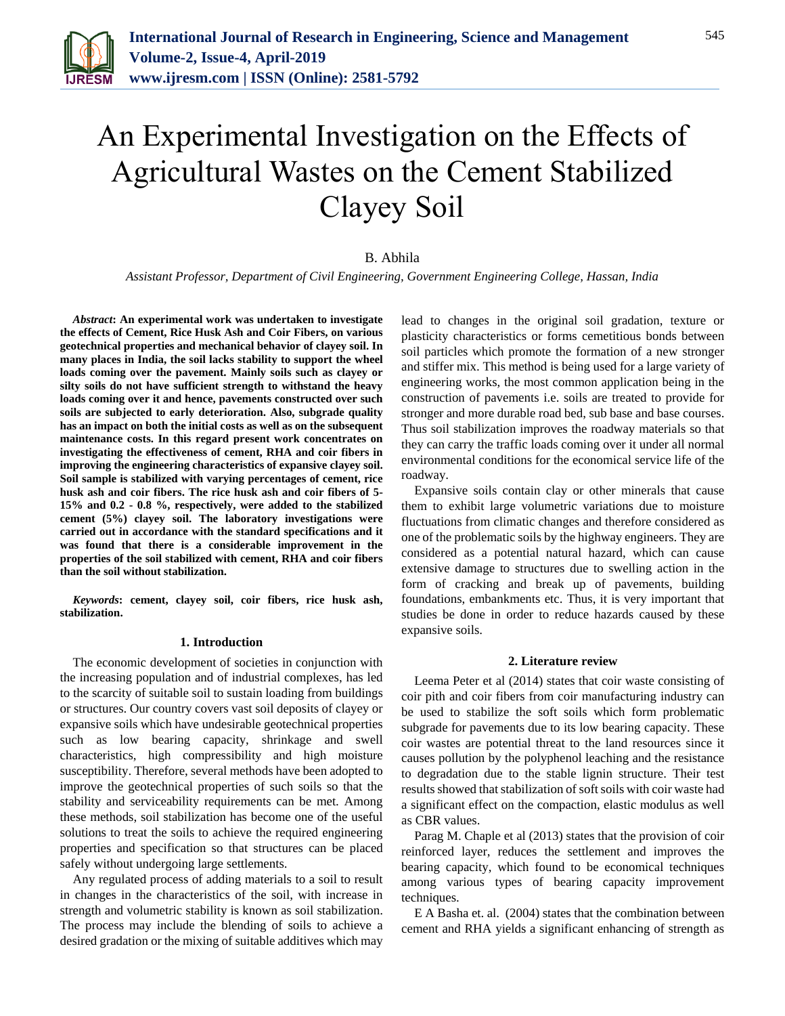

# An Experimental Investigation on the Effects of Agricultural Wastes on the Cement Stabilized Clayey Soil

# B. Abhila

*Assistant Professor, Department of Civil Engineering, Government Engineering College, Hassan, India*

*Abstract***: An experimental work was undertaken to investigate the effects of Cement, Rice Husk Ash and Coir Fibers, on various geotechnical properties and mechanical behavior of clayey soil. In many places in India, the soil lacks stability to support the wheel loads coming over the pavement. Mainly soils such as clayey or silty soils do not have sufficient strength to withstand the heavy loads coming over it and hence, pavements constructed over such soils are subjected to early deterioration. Also, subgrade quality has an impact on both the initial costs as well as on the subsequent maintenance costs. In this regard present work concentrates on investigating the effectiveness of cement, RHA and coir fibers in improving the engineering characteristics of expansive clayey soil. Soil sample is stabilized with varying percentages of cement, rice husk ash and coir fibers. The rice husk ash and coir fibers of 5- 15% and 0.2 - 0.8 %, respectively, were added to the stabilized cement (5%) clayey soil. The laboratory investigations were carried out in accordance with the standard specifications and it was found that there is a considerable improvement in the properties of the soil stabilized with cement, RHA and coir fibers than the soil without stabilization.** 

*Keywords***: cement, clayey soil, coir fibers, rice husk ash, stabilization.**

#### **1. Introduction**

The economic development of societies in conjunction with the increasing population and of industrial complexes, has led to the scarcity of suitable soil to sustain loading from buildings or structures. Our country covers vast soil deposits of clayey or expansive soils which have undesirable geotechnical properties such as low bearing capacity, shrinkage and swell characteristics, high compressibility and high moisture susceptibility. Therefore, several methods have been adopted to improve the geotechnical properties of such soils so that the stability and serviceability requirements can be met. Among these methods, soil stabilization has become one of the useful solutions to treat the soils to achieve the required engineering properties and specification so that structures can be placed safely without undergoing large settlements.

Any regulated process of adding materials to a soil to result in changes in the characteristics of the soil, with increase in strength and volumetric stability is known as soil stabilization. The process may include the blending of soils to achieve a desired gradation or the mixing of suitable additives which may

lead to changes in the original soil gradation, texture or plasticity characteristics or forms cemetitious bonds between soil particles which promote the formation of a new stronger and stiffer mix. This method is being used for a large variety of engineering works, the most common application being in the construction of pavements i.e. soils are treated to provide for stronger and more durable road bed, sub base and base courses. Thus soil stabilization improves the roadway materials so that they can carry the traffic loads coming over it under all normal environmental conditions for the economical service life of the roadway.

Expansive soils contain clay or other minerals that cause them to exhibit large volumetric variations due to moisture fluctuations from climatic changes and therefore considered as one of the problematic soils by the highway engineers. They are considered as a potential natural hazard, which can cause extensive damage to structures due to swelling action in the form of cracking and break up of pavements, building foundations, embankments etc. Thus, it is very important that studies be done in order to reduce hazards caused by these expansive soils.

#### **2. Literature review**

Leema Peter et al (2014) states that coir waste consisting of coir pith and coir fibers from coir manufacturing industry can be used to stabilize the soft soils which form problematic subgrade for pavements due to its low bearing capacity. These coir wastes are potential threat to the land resources since it causes pollution by the polyphenol leaching and the resistance to degradation due to the stable lignin structure. Their test results showed that stabilization of soft soils with coir waste had a significant effect on the compaction, elastic modulus as well as CBR values.

Parag M. Chaple et al (2013) states that the provision of coir reinforced layer, reduces the settlement and improves the bearing capacity, which found to be economical techniques among various types of bearing capacity improvement techniques.

E A Basha et. al. (2004) states that the combination between cement and RHA yields a significant enhancing of strength as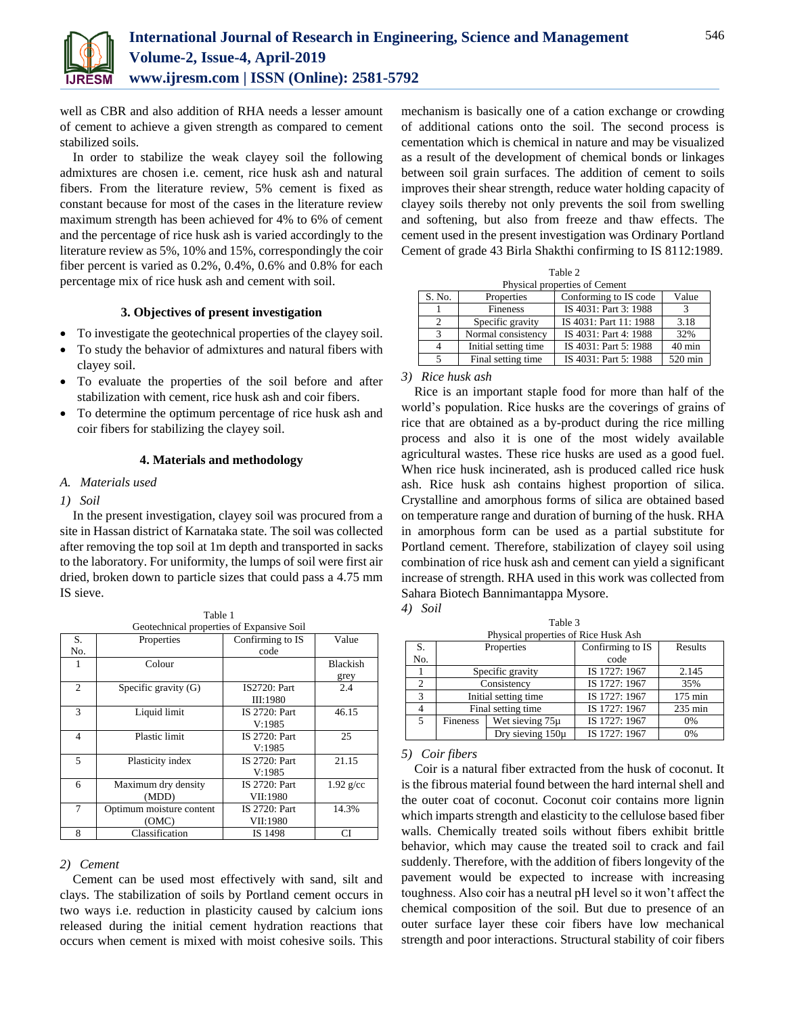

well as CBR and also addition of RHA needs a lesser amount of cement to achieve a given strength as compared to cement stabilized soils.

In order to stabilize the weak clayey soil the following admixtures are chosen i.e. cement, rice husk ash and natural fibers. From the literature review, 5% cement is fixed as constant because for most of the cases in the literature review maximum strength has been achieved for 4% to 6% of cement and the percentage of rice husk ash is varied accordingly to the literature review as 5%, 10% and 15%, correspondingly the coir fiber percent is varied as 0.2%, 0.4%, 0.6% and 0.8% for each percentage mix of rice husk ash and cement with soil.

# **3. Objectives of present investigation**

- To investigate the geotechnical properties of the clayey soil.
- To study the behavior of admixtures and natural fibers with clayey soil.
- To evaluate the properties of the soil before and after stabilization with cement, rice husk ash and coir fibers.
- To determine the optimum percentage of rice husk ash and coir fibers for stabilizing the clayey soil.

#### **4. Materials and methodology**

#### *A. Materials used*

# *1) Soil*

In the present investigation, clayey soil was procured from a site in Hassan district of Karnataka state. The soil was collected after removing the top soil at 1m depth and transported in sacks to the laboratory. For uniformity, the lumps of soil were first air dried, broken down to particle sizes that could pass a 4.75 mm IS sieve.

|  |  | Table 1<br>. |  |
|--|--|--------------|--|
|  |  |              |  |

| Geotechnical properties of Expansive Soil |                          |                      |                 |  |  |  |
|-------------------------------------------|--------------------------|----------------------|-----------------|--|--|--|
| S.                                        | Properties               | Confirming to IS     | Value           |  |  |  |
| No.                                       |                          | code                 |                 |  |  |  |
| 1                                         | Colour                   |                      | <b>Blackish</b> |  |  |  |
|                                           |                          |                      | grey            |  |  |  |
| $\overline{c}$                            | Specific gravity $(G)$   | IS2720: Part         | 2.4             |  |  |  |
|                                           |                          | III:1980             |                 |  |  |  |
| 3                                         | Liquid limit             | <b>IS 2720: Part</b> | 46.15           |  |  |  |
|                                           |                          | V:1985               |                 |  |  |  |
| $\overline{4}$                            | Plastic limit            | IS 2720: Part        | 25              |  |  |  |
|                                           |                          | V:1985               |                 |  |  |  |
| 5                                         | Plasticity index         | <b>IS 2720: Part</b> | 21.15           |  |  |  |
|                                           |                          | V:1985               |                 |  |  |  |
| 6                                         | Maximum dry density      | IS 2720: Part        | $1.92$ g/cc     |  |  |  |
|                                           | (MDD)                    | VII:1980             |                 |  |  |  |
| 7                                         | Optimum moisture content | IS 2720: Part        | 14.3%           |  |  |  |
|                                           | (OMC)                    | VII:1980             |                 |  |  |  |
| 8                                         | Classification           | IS 1498              | CI              |  |  |  |

## *2) Cement*

Cement can be used most effectively with sand, silt and clays. The stabilization of soils by Portland cement occurs in two ways i.e. reduction in plasticity caused by calcium ions released during the initial cement hydration reactions that occurs when cement is mixed with moist cohesive soils. This

mechanism is basically one of a cation exchange or crowding of additional cations onto the soil. The second process is cementation which is chemical in nature and may be visualized as a result of the development of chemical bonds or linkages between soil grain surfaces. The addition of cement to soils improves their shear strength, reduce water holding capacity of clayey soils thereby not only prevents the soil from swelling and softening, but also from freeze and thaw effects. The cement used in the present investigation was Ordinary Portland Cement of grade 43 Birla Shakthi confirming to IS 8112:1989.

|  | Table 2 |  |
|--|---------|--|
|  |         |  |

| Physical properties of Cement |                      |                        |          |  |  |
|-------------------------------|----------------------|------------------------|----------|--|--|
| S. No.                        | Properties           | Conforming to IS code  | Value    |  |  |
|                               | Fineness             | IS 4031: Part 3: 1988  |          |  |  |
| $\mathfrak{D}$                | Specific gravity     | IS 4031: Part 11: 1988 | 3.18     |  |  |
| 3                             | Normal consistency   | IS 4031: Part 4: 1988  | 32%      |  |  |
| 4                             | Initial setting time | IS 4031: Part 5: 1988  | $40$ min |  |  |
| 5                             | Final setting time   | IS 4031: Part 5: 1988  | 520 min  |  |  |

*3) Rice husk ash*

Rice is an important staple food for more than half of the world's population. Rice husks are the coverings of grains of rice that are obtained as a by-product during the rice milling process and also it is one of the most widely available agricultural wastes. These rice husks are used as a good fuel. When rice husk incinerated, ash is produced called rice husk ash. Rice husk ash contains highest proportion of silica. Crystalline and amorphous forms of silica are obtained based on temperature range and duration of burning of the husk. RHA in amorphous form can be used as a partial substitute for Portland cement. Therefore, stabilization of clayey soil using combination of rice husk ash and cement can yield a significant increase of strength. RHA used in this work was collected from Sahara Biotech Bannimantappa Mysore. *4) Soil*

| v<br>۰. | I<br>×<br>٧ | ۰, | c. |  |
|---------|-------------|----|----|--|
|         |             |    |    |  |

| Table 3                              |                 |                      |                  |                   |  |  |  |
|--------------------------------------|-----------------|----------------------|------------------|-------------------|--|--|--|
| Physical properties of Rice Husk Ash |                 |                      |                  |                   |  |  |  |
| S.                                   |                 | Properties           | Confirming to IS | Results           |  |  |  |
| No.                                  |                 |                      | code             |                   |  |  |  |
|                                      |                 | Specific gravity     | IS 1727: 1967    | 2.145             |  |  |  |
| 2                                    |                 | Consistency          | IS 1727: 1967    | 35%               |  |  |  |
| 3                                    |                 | Initial setting time | IS 1727: 1967    | $175 \text{ min}$ |  |  |  |
| 4                                    |                 | Final setting time   | IS 1727: 1967    | $235 \text{ min}$ |  |  |  |
| 5                                    | <b>Fineness</b> | Wet sieving 75µ      | IS 1727: 1967    | 0%                |  |  |  |
|                                      |                 | Dry sieving 150u     | IS 1727: 1967    | 0%                |  |  |  |

# *5) Coir fibers*

Coir is a natural fiber extracted from the husk of coconut. It is the fibrous material found between the hard internal shell and the outer coat of coconut. Coconut coir contains more lignin which imparts strength and elasticity to the cellulose based fiber walls. Chemically treated soils without fibers exhibit brittle behavior, which may cause the treated soil to crack and fail suddenly. Therefore, with the addition of fibers longevity of the pavement would be expected to increase with increasing toughness. Also coir has a neutral pH level so it won't affect the chemical composition of the soil. But due to presence of an outer surface layer these coir fibers have low mechanical strength and poor interactions. Structural stability of coir fibers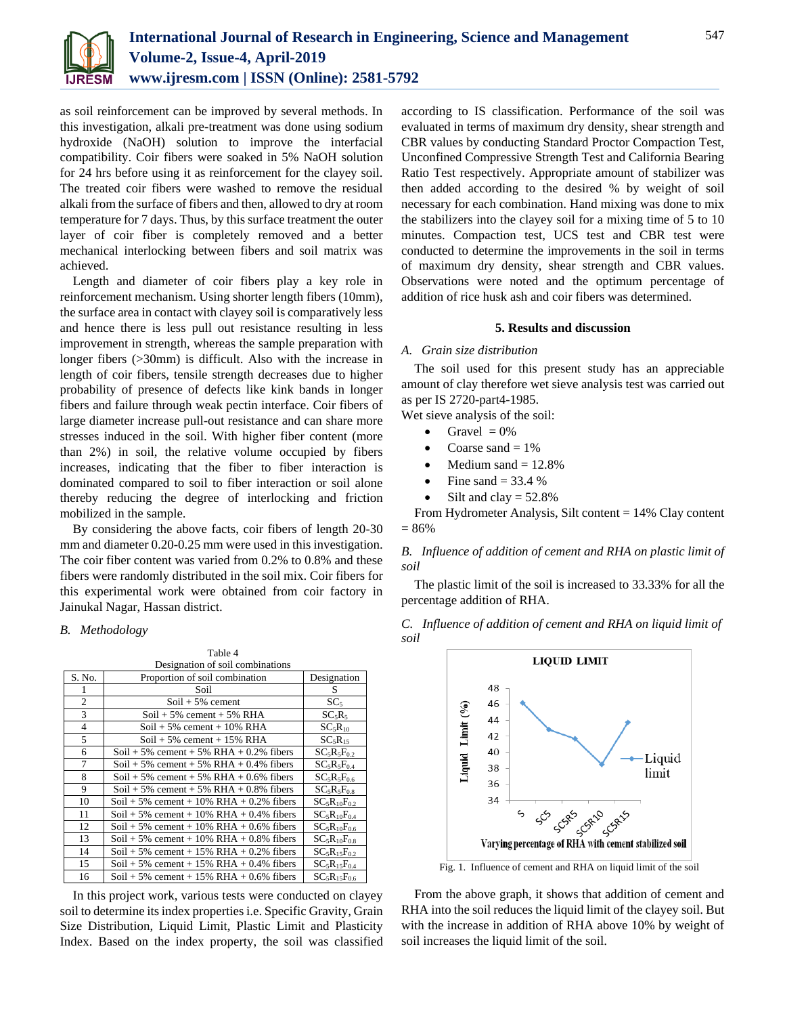

as soil reinforcement can be improved by several methods. In this investigation, alkali pre-treatment was done using sodium hydroxide (NaOH) solution to improve the interfacial compatibility. Coir fibers were soaked in 5% NaOH solution for 24 hrs before using it as reinforcement for the clayey soil. The treated coir fibers were washed to remove the residual alkali from the surface of fibers and then, allowed to dry at room temperature for 7 days. Thus, by this surface treatment the outer layer of coir fiber is completely removed and a better mechanical interlocking between fibers and soil matrix was achieved.

Length and diameter of coir fibers play a key role in reinforcement mechanism. Using shorter length fibers (10mm), the surface area in contact with clayey soil is comparatively less and hence there is less pull out resistance resulting in less improvement in strength, whereas the sample preparation with longer fibers (>30mm) is difficult. Also with the increase in length of coir fibers, tensile strength decreases due to higher probability of presence of defects like kink bands in longer fibers and failure through weak pectin interface. Coir fibers of large diameter increase pull-out resistance and can share more stresses induced in the soil. With higher fiber content (more than 2%) in soil, the relative volume occupied by fibers increases, indicating that the fiber to fiber interaction is dominated compared to soil to fiber interaction or soil alone thereby reducing the degree of interlocking and friction mobilized in the sample.

By considering the above facts, coir fibers of length 20-30 mm and diameter 0.20-0.25 mm were used in this investigation. The coir fiber content was varied from 0.2% to 0.8% and these fibers were randomly distributed in the soil mix. Coir fibers for this experimental work were obtained from coir factory in Jainukal Nagar, Hassan district.

## *B. Methodology*

|                | Table 4                                    |                                 |
|----------------|--------------------------------------------|---------------------------------|
|                | Designation of soil combinations           |                                 |
| S. No.         | Proportion of soil combination             | Designation                     |
|                | Soil                                       | S                               |
| $\overline{2}$ | $Soil + 5\%$ cement                        | SC <sub>5</sub>                 |
| 3              | $Soil + 5\%$ cement + 5% RHA               | $SC_5R_5$                       |
| $\overline{4}$ | $Soil + 5\%$ cement + 10% RHA              | SC <sub>5</sub> R <sub>10</sub> |
| 5              | $Soil + 5\%$ cement + 15% RHA              | SC <sub>5</sub> R <sub>15</sub> |
| 6              | Soil + 5% cement + 5% RHA + 0.2% fibers    | $SC_5R_5F_{0.2}$                |
| 7              | Soil + 5% cement + 5% RHA + 0.4% fibers    | $SC_5R_5F_{0.4}$                |
| 8              | Soil + 5% cement + 5% RHA + $0.6\%$ fibers | $SC_5R_5F_{0.6}$                |
| 9              | Soil + 5% cement + 5% RHA + 0.8% fibers    | $SC_5R_5F_{0.8}$                |
| 10             | Soil + 5% cement + 10% RHA + 0.2% fibers   | $SC_5R_{10}F_{0.2}$             |
| 11             | Soil + 5% cement + 10% RHA + 0.4% fibers   | $SC_5R_{10}F_{0.4}$             |
| 12             | Soil + 5% cement + 10% RHA + 0.6% fibers   | $SC_5R_{10}F_{0.6}$             |
| 13             | Soil + 5% cement + 10% RHA + 0.8% fibers   | $SC_5R_{10}F_{0.8}$             |
| 14             | Soil + 5% cement + 15% RHA + 0.2% fibers   | $SC_5R_{15}F_{0.2}$             |
| 15             | Soil + 5% cement + 15% RHA + 0.4% fibers   | $SC_5R_{15}F_{0.4}$             |
| 16             | Soil + 5% cement + 15% RHA + 0.6% fibers   | $SC_5R_{15}F_{0.6}$             |

In this project work, various tests were conducted on clayey soil to determine its index properties i.e. Specific Gravity, Grain Size Distribution, Liquid Limit, Plastic Limit and Plasticity Index. Based on the index property, the soil was classified

according to IS classification. Performance of the soil was evaluated in terms of maximum dry density, shear strength and CBR values by conducting Standard Proctor Compaction Test, Unconfined Compressive Strength Test and California Bearing Ratio Test respectively. Appropriate amount of stabilizer was then added according to the desired % by weight of soil necessary for each combination. Hand mixing was done to mix the stabilizers into the clayey soil for a mixing time of 5 to 10 minutes. Compaction test, UCS test and CBR test were conducted to determine the improvements in the soil in terms of maximum dry density, shear strength and CBR values. Observations were noted and the optimum percentage of addition of rice husk ash and coir fibers was determined.

#### **5. Results and discussion**

#### *A. Grain size distribution*

The soil used for this present study has an appreciable amount of clay therefore wet sieve analysis test was carried out as per IS 2720-part4-1985.

Wet sieve analysis of the soil:

- Gravel  $= 0\%$
- Coarse sand  $= 1\%$
- Medium sand  $= 12.8\%$
- Fine sand  $=$  33.4 %
- Silt and clay  $=$  52.8%

From Hydrometer Analysis, Silt content = 14% Clay content = 86%

*B. Influence of addition of cement and RHA on plastic limit of soil*

The plastic limit of the soil is increased to 33.33% for all the percentage addition of RHA.





Fig. 1. Influence of cement and RHA on liquid limit of the soil

From the above graph, it shows that addition of cement and RHA into the soil reduces the liquid limit of the clayey soil. But with the increase in addition of RHA above 10% by weight of soil increases the liquid limit of the soil.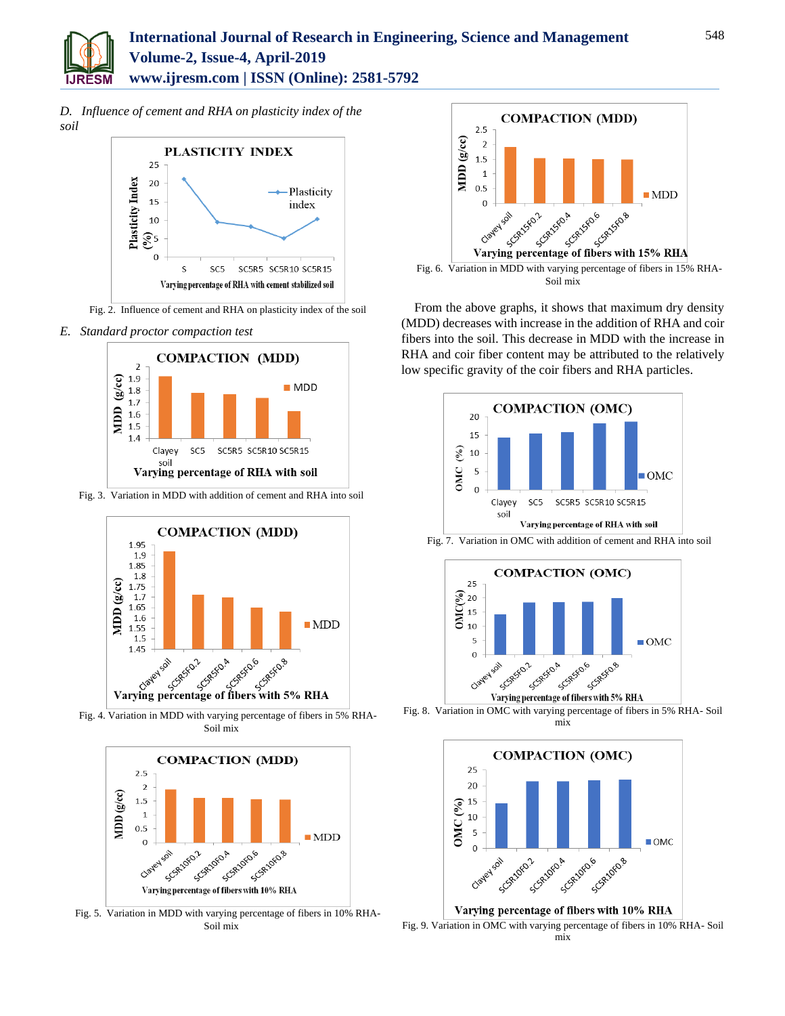

*D. Influence of cement and RHA on plasticity index of the soil*



Fig. 2. Influence of cement and RHA on plasticity index of the soil

*E. Standard proctor compaction test*



Fig. 3. Variation in MDD with addition of cement and RHA into soil



Fig. 4. Variation in MDD with varying percentage of fibers in 5% RHA-Soil mix



Fig. 5. Variation in MDD with varying percentage of fibers in 10% RHA-Soil mix



From the above graphs, it shows that maximum dry density (MDD) decreases with increase in the addition of RHA and coir fibers into the soil. This decrease in MDD with the increase in RHA and coir fiber content may be attributed to the relatively low specific gravity of the coir fibers and RHA particles.





Fig. 8. Variation in OMC with varying percentage of fibers in 5% RHA- Soil mix

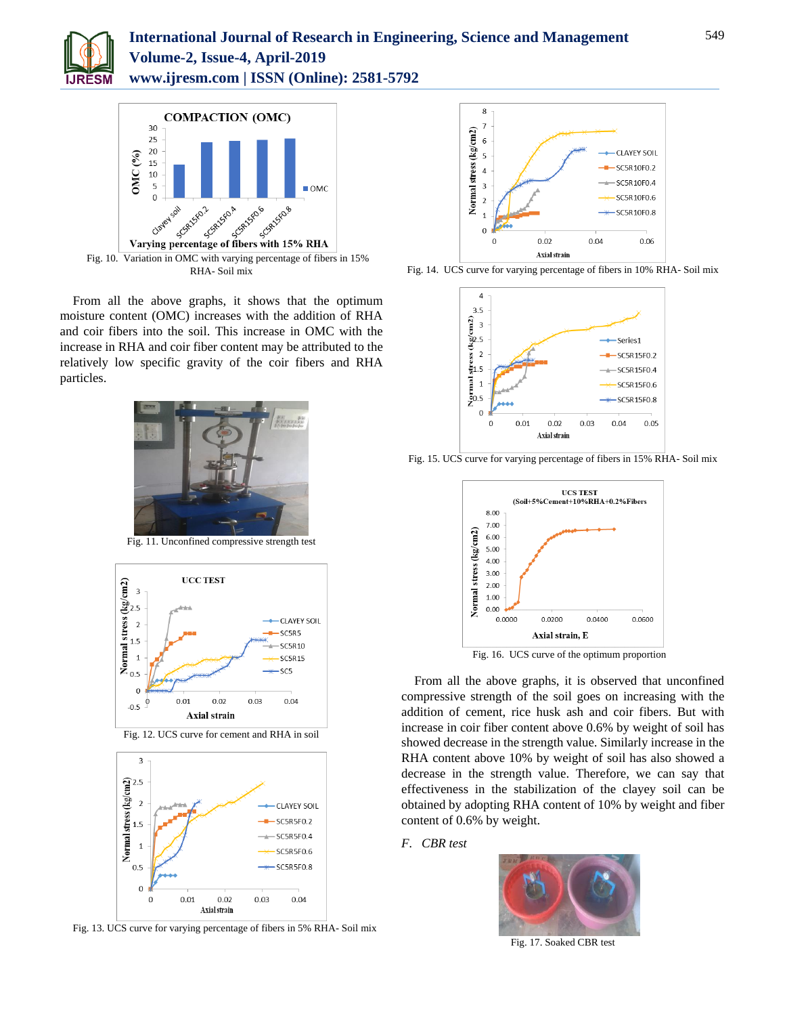

# **International Journal of Research in Engineering, Science and Management Volume-2, Issue-4, April-2019 www.ijresm.com | ISSN (Online): 2581-5792**



From all the above graphs, it shows that the optimum moisture content (OMC) increases with the addition of RHA and coir fibers into the soil. This increase in OMC with the increase in RHA and coir fiber content may be attributed to the relatively low specific gravity of the coir fibers and RHA particles.



Fig. 11. Unconfined compressive strength test



Fig. 12. UCS curve for cement and RHA in soil



Fig. 13. UCS curve for varying percentage of fibers in 5% RHA- Soil mix



Fig. 14. UCS curve for varying percentage of fibers in 10% RHA- Soil mix





Fig. 15. UCS curve for varying percentage of fibers in 15% RHA- Soil mix

Fig. 16. UCS curve of the optimum proportion

From all the above graphs, it is observed that unconfined compressive strength of the soil goes on increasing with the addition of cement, rice husk ash and coir fibers. But with increase in coir fiber content above 0.6% by weight of soil has showed decrease in the strength value. Similarly increase in the RHA content above 10% by weight of soil has also showed a decrease in the strength value. Therefore, we can say that effectiveness in the stabilization of the clayey soil can be obtained by adopting RHA content of 10% by weight and fiber content of 0.6% by weight.

#### *F. CBR test*



Fig. 17. Soaked CBR test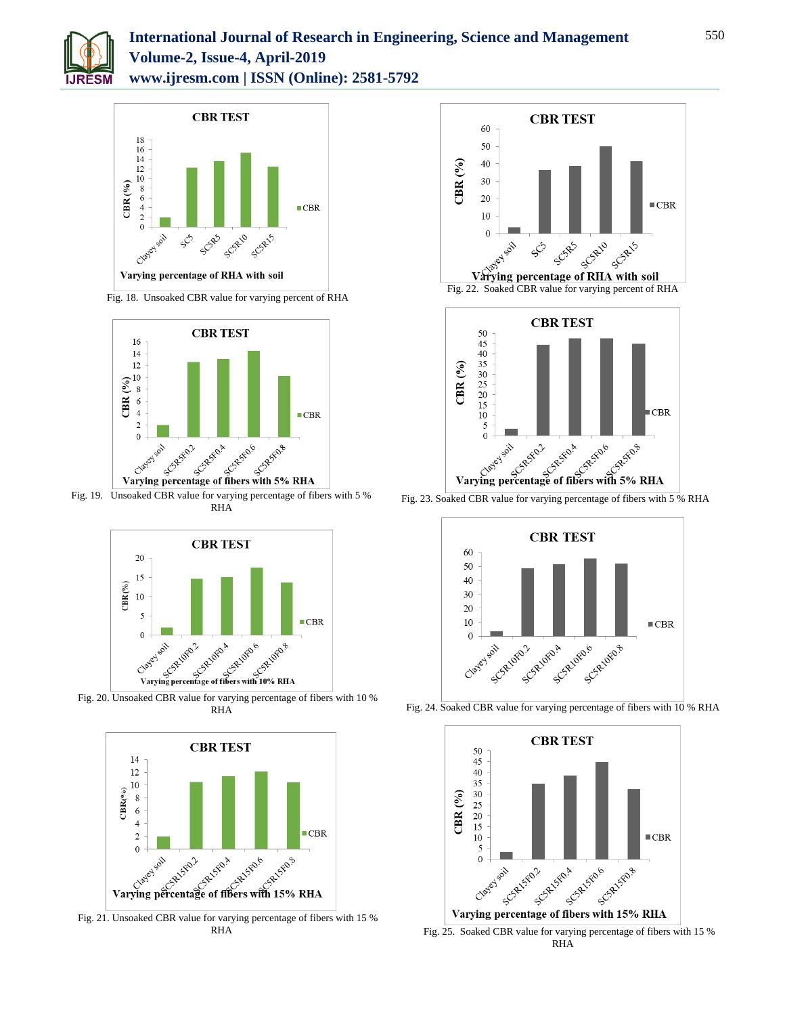

# **International Journal of Research in Engineering, Science and Management Volume-2, Issue-4, April-2019 www.ijresm.com | ISSN (Online): 2581-5792**



Fig. 18. Unsoaked CBR value for varying percent of RHA



Fig. 19. Unsoaked CBR value for varying percentage of fibers with 5 % RHA



Fig. 20. Unsoaked CBR value for varying percentage of fibers with 10 % RHA



Fig. 21. Unsoaked CBR value for varying percentage of fibers with 15 % RHA





Fig. 23. Soaked CBR value for varying percentage of fibers with 5 % RHA



Fig. 24. Soaked CBR value for varying percentage of fibers with 10 % RHA



Fig. 25. Soaked CBR value for varying percentage of fibers with 15 % RHA